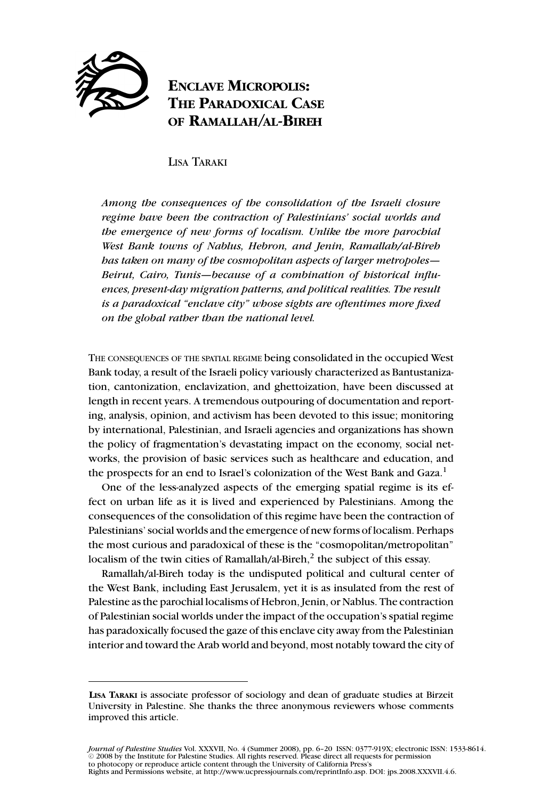

# **ENCLAVE MICROPOLIS: THE PARADOXICAL CASE OF RAMALLAH/AL-BIREH**

### LISA TARAKI

*Among the consequences of the consolidation of the Israeli closure regime have been the contraction of Palestinians' social worlds and the emergence of new forms of localism. Unlike the more parochial West Bank towns of Nablus, Hebron, and Jenin, Ramallah/al-Bireh has taken on many of the cosmopolitan aspects of larger metropoles— Beirut, Cairo, Tunis—because of a combination of historical influences, present-day migration patterns, and political realities. The result is a paradoxical "enclave city" whose sights are oftentimes more fixed on the global rather than the national level.*

THE CONSEQUENCES OF THE SPATIAL REGIME being consolidated in the occupied West Bank today, a result of the Israeli policy variously characterized as Bantustanization, cantonization, enclavization, and ghettoization, have been discussed at length in recent years. A tremendous outpouring of documentation and reporting, analysis, opinion, and activism has been devoted to this issue; monitoring by international, Palestinian, and Israeli agencies and organizations has shown the policy of fragmentation's devastating impact on the economy, social networks, the provision of basic services such as healthcare and education, and the prospects for an end to Israel's colonization of the West Bank and Gaza.<sup>1</sup>

One of the less-analyzed aspects of the emerging spatial regime is its effect on urban life as it is lived and experienced by Palestinians. Among the consequences of the consolidation of this regime have been the contraction of Palestinians' social worlds and the emergence of new forms of localism. Perhaps the most curious and paradoxical of these is the "cosmopolitan/metropolitan" localism of the twin cities of Ramallah/al-Bireh,<sup>2</sup> the subject of this essay.

Ramallah/al-Bireh today is the undisputed political and cultural center of the West Bank, including East Jerusalem, yet it is as insulated from the rest of Palestine as the parochial localisms of Hebron, Jenin, or Nablus. The contraction of Palestinian social worlds under the impact of the occupation's spatial regime has paradoxically focused the gaze of this enclave city away from the Palestinian interior and toward the Arab world and beyond, most notably toward the city of

*Journal of Palestine Studies* Vol. XXXVII, No. 4 (Summer 2008), pp. 6–20 ISSN: 0377-919X; electronic ISSN: 1533-8614.<br>© 2008 by the Institute for Palestine Studies. All rights reserved. Please direct all requests for per to photocopy or reproduce article content through the University of California Press's Rights and Permissions website, at http://www.ucpressjournals.com/reprintInfo.asp. DOI: jps.2008.XXXVII.4.6.

**LISA TARAKI** is associate professor of sociology and dean of graduate studies at Birzeit University in Palestine. She thanks the three anonymous reviewers whose comments improved this article.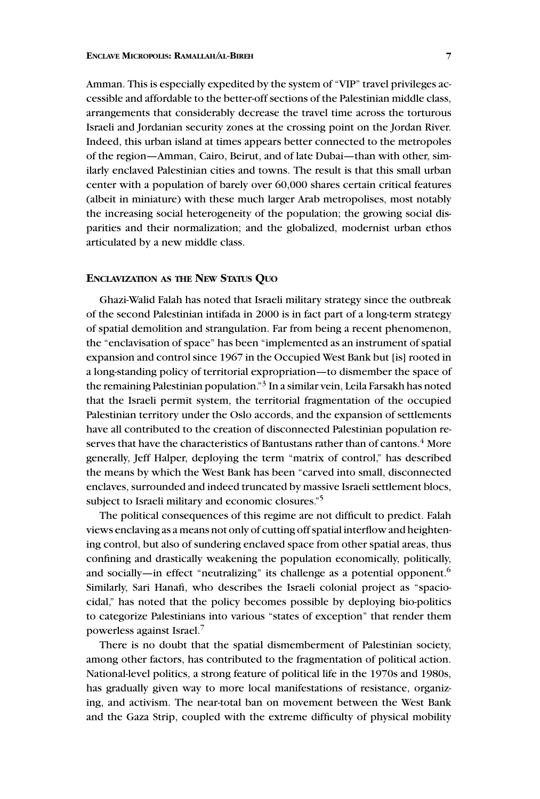Amman. This is especially expedited by the system of "VIP" travel privileges accessible and affordable to the better-off sections of the Palestinian middle class, arrangements that considerably decrease the travel time across the torturous Israeli and Jordanian security zones at the crossing point on the Jordan River. Indeed, this urban island at times appears better connected to the metropoles of the region—Amman, Cairo, Beirut, and of late Dubai—than with other, similarly enclaved Palestinian cities and towns. The result is that this small urban center with a population of barely over 60,000 shares certain critical features (albeit in miniature) with these much larger Arab metropolises, most notably the increasing social heterogeneity of the population; the growing social disparities and their normalization; and the globalized, modernist urban ethos articulated by a new middle class.

### **ENCLAVIZATION AS THE NEW STATUS QUO**

Ghazi-Walid Falah has noted that Israeli military strategy since the outbreak of the second Palestinian intifada in 2000 is in fact part of a long-term strategy of spatial demolition and strangulation. Far from being a recent phenomenon, the "enclavisation of space" has been "implemented as an instrument of spatial expansion and control since 1967 in the Occupied West Bank but [is] rooted in a long-standing policy of territorial expropriation—to dismember the space of the remaining Palestinian population."<sup>3</sup> In a similar vein, Leila Farsakh has noted that the Israeli permit system, the territorial fragmentation of the occupied Palestinian territory under the Oslo accords, and the expansion of settlements have all contributed to the creation of disconnected Palestinian population reserves that have the characteristics of Bantustans rather than of cantons.<sup>4</sup> More generally, Jeff Halper, deploying the term "matrix of control," has described the means by which the West Bank has been "carved into small, disconnected enclaves, surrounded and indeed truncated by massive Israeli settlement blocs, subject to Israeli military and economic closures."<sup>5</sup>

The political consequences of this regime are not difficult to predict. Falah views enclaving as a means not only of cutting off spatial interflow and heightening control, but also of sundering enclaved space from other spatial areas, thus confining and drastically weakening the population economically, politically, and socially—in effect "neutralizing" its challenge as a potential opponent.<sup>6</sup> Similarly, Sari Hanafi, who describes the Israeli colonial project as "spaciocidal," has noted that the policy becomes possible by deploying bio-politics to categorize Palestinians into various "states of exception" that render them powerless against Israel.<sup>7</sup>

There is no doubt that the spatial dismemberment of Palestinian society, among other factors, has contributed to the fragmentation of political action. National-level politics, a strong feature of political life in the 1970s and 1980s, has gradually given way to more local manifestations of resistance, organizing, and activism. The near-total ban on movement between the West Bank and the Gaza Strip, coupled with the extreme difficulty of physical mobility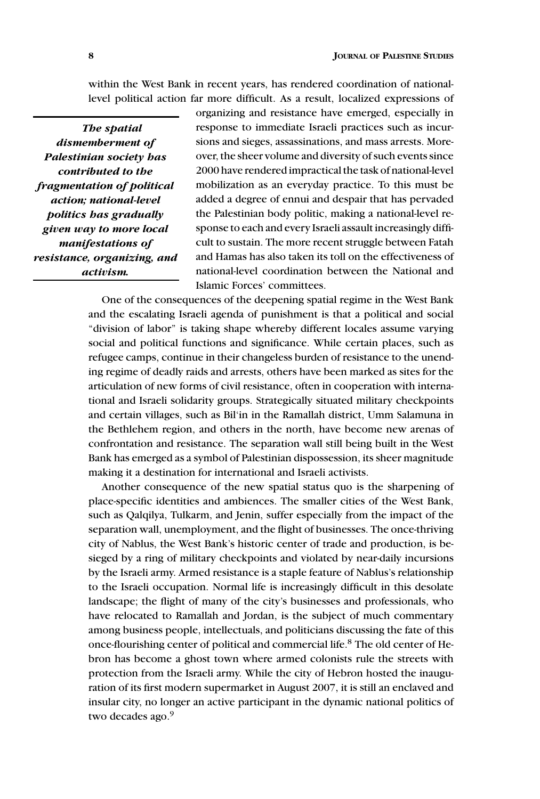within the West Bank in recent years, has rendered coordination of nationallevel political action far more difficult. As a result, localized expressions of

*The spatial dismemberment of Palestinian society has contributed to the fragmentation of political action; national-level politics has gradually given way to more local manifestations of resistance, organizing, and activism.*

organizing and resistance have emerged, especially in response to immediate Israeli practices such as incursions and sieges, assassinations, and mass arrests. Moreover, the sheer volume and diversity of such events since 2000 have rendered impractical the task of national-level mobilization as an everyday practice. To this must be added a degree of ennui and despair that has pervaded the Palestinian body politic, making a national-level response to each and every Israeli assault increasingly difficult to sustain. The more recent struggle between Fatah and Hamas has also taken its toll on the effectiveness of national-level coordination between the National and Islamic Forces' committees.

One of the consequences of the deepening spatial regime in the West Bank and the escalating Israeli agenda of punishment is that a political and social "division of labor" is taking shape whereby different locales assume varying social and political functions and significance. While certain places, such as refugee camps, continue in their changeless burden of resistance to the unending regime of deadly raids and arrests, others have been marked as sites for the articulation of new forms of civil resistance, often in cooperation with international and Israeli solidarity groups. Strategically situated military checkpoints and certain villages, such as Bil'in in the Ramallah district, Umm Salamuna in the Bethlehem region, and others in the north, have become new arenas of confrontation and resistance. The separation wall still being built in the West Bank has emerged as a symbol of Palestinian dispossession, its sheer magnitude making it a destination for international and Israeli activists.

Another consequence of the new spatial status quo is the sharpening of place-specific identities and ambiences. The smaller cities of the West Bank, such as Qalqilya, Tulkarm, and Jenin, suffer especially from the impact of the separation wall, unemployment, and the flight of businesses. The once-thriving city of Nablus, the West Bank's historic center of trade and production, is besieged by a ring of military checkpoints and violated by near-daily incursions by the Israeli army. Armed resistance is a staple feature of Nablus's relationship to the Israeli occupation. Normal life is increasingly difficult in this desolate landscape; the flight of many of the city's businesses and professionals, who have relocated to Ramallah and Jordan, is the subject of much commentary among business people, intellectuals, and politicians discussing the fate of this once-flourishing center of political and commercial life.<sup>8</sup> The old center of Hebron has become a ghost town where armed colonists rule the streets with protection from the Israeli army. While the city of Hebron hosted the inauguration of its first modern supermarket in August 2007, it is still an enclaved and insular city, no longer an active participant in the dynamic national politics of two decades ago.<sup>9</sup>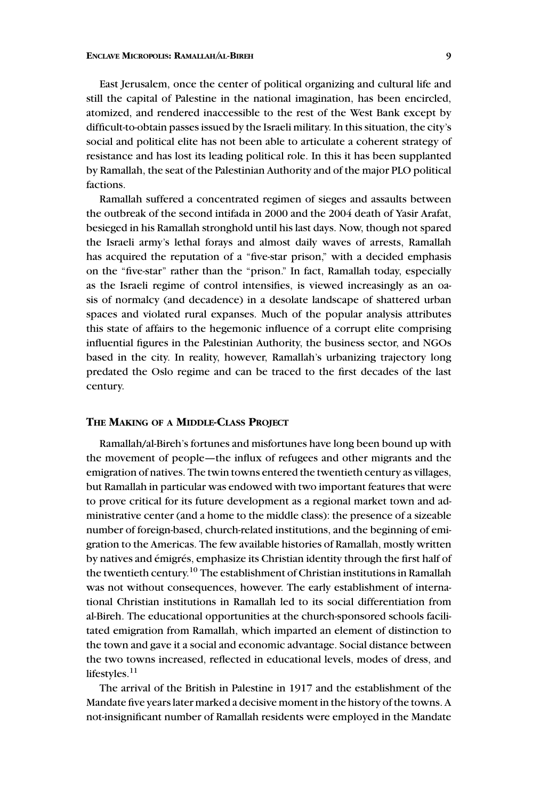East Jerusalem, once the center of political organizing and cultural life and still the capital of Palestine in the national imagination, has been encircled, atomized, and rendered inaccessible to the rest of the West Bank except by difficult-to-obtain passes issued by the Israeli military. In this situation, the city's social and political elite has not been able to articulate a coherent strategy of resistance and has lost its leading political role. In this it has been supplanted by Ramallah, the seat of the Palestinian Authority and of the major PLO political factions.

Ramallah suffered a concentrated regimen of sieges and assaults between the outbreak of the second intifada in 2000 and the 2004 death of Yasir Arafat, besieged in his Ramallah stronghold until his last days. Now, though not spared the Israeli army's lethal forays and almost daily waves of arrests, Ramallah has acquired the reputation of a "five-star prison," with a decided emphasis on the "five-star" rather than the "prison." In fact, Ramallah today, especially as the Israeli regime of control intensifies, is viewed increasingly as an oasis of normalcy (and decadence) in a desolate landscape of shattered urban spaces and violated rural expanses. Much of the popular analysis attributes this state of affairs to the hegemonic influence of a corrupt elite comprising influential figures in the Palestinian Authority, the business sector, and NGOs based in the city. In reality, however, Ramallah's urbanizing trajectory long predated the Oslo regime and can be traced to the first decades of the last century.

#### **THE MAKING OF A MIDDLE-CLASS PROJECT**

Ramallah/al-Bireh's fortunes and misfortunes have long been bound up with the movement of people—the influx of refugees and other migrants and the emigration of natives. The twin towns entered the twentieth century as villages, but Ramallah in particular was endowed with two important features that were to prove critical for its future development as a regional market town and administrative center (and a home to the middle class): the presence of a sizeable number of foreign-based, church-related institutions, and the beginning of emigration to the Americas. The few available histories of Ramallah, mostly written by natives and émigrés, emphasize its Christian identity through the first half of the twentieth century.<sup>10</sup> The establishment of Christian institutions in Ramallah was not without consequences, however. The early establishment of international Christian institutions in Ramallah led to its social differentiation from al-Bireh. The educational opportunities at the church-sponsored schools facilitated emigration from Ramallah, which imparted an element of distinction to the town and gave it a social and economic advantage. Social distance between the two towns increased, reflected in educational levels, modes of dress, and lifestyles.<sup>11</sup>

The arrival of the British in Palestine in 1917 and the establishment of the Mandate five years later marked a decisive moment in the history of the towns. A not-insignificant number of Ramallah residents were employed in the Mandate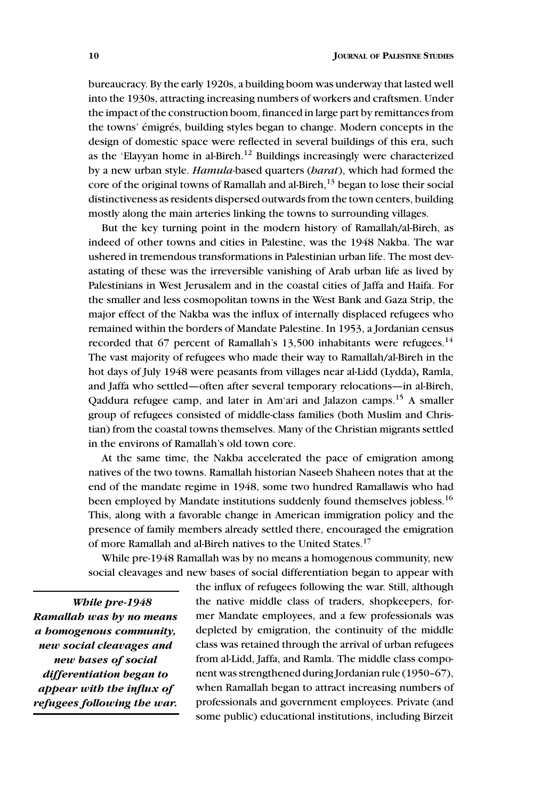bureaucracy. By the early 1920s, a building boom was underway that lasted well into the 1930s, attracting increasing numbers of workers and craftsmen. Under the impact of the construction boom, financed in large part by remittances from the towns' émigrés, building styles began to change. Modern concepts in the design of domestic space were reflected in several buildings of this era, such as the 'Elayyan home in al-Bireh.<sup>12</sup> Buildings increasingly were characterized by a new urban style. *Hamula*-based quarters (*harat*), which had formed the core of the original towns of Ramallah and al-Bireh, $^{13}$  began to lose their social distinctiveness as residents dispersed outwards from the town centers, building mostly along the main arteries linking the towns to surrounding villages.

But the key turning point in the modern history of Ramallah/al-Bireh, as indeed of other towns and cities in Palestine, was the 1948 Nakba. The war ushered in tremendous transformations in Palestinian urban life. The most devastating of these was the irreversible vanishing of Arab urban life as lived by Palestinians in West Jerusalem and in the coastal cities of Jaffa and Haifa. For the smaller and less cosmopolitan towns in the West Bank and Gaza Strip, the major effect of the Nakba was the influx of internally displaced refugees who remained within the borders of Mandate Palestine. In 1953, a Jordanian census recorded that 67 percent of Ramallah's 13,500 inhabitants were refugees.<sup>14</sup> The vast majority of refugees who made their way to Ramallah/al-Bireh in the hot days of July 1948 were peasants from villages near al-Lidd (Lydda)**,** Ramla, and Jaffa who settled—often after several temporary relocations—in al-Bireh, Qaddura refugee camp, and later in Am'ari and Jalazon camps.<sup>15</sup> A smaller group of refugees consisted of middle-class families (both Muslim and Christian) from the coastal towns themselves. Many of the Christian migrants settled in the environs of Ramallah's old town core.

At the same time, the Nakba accelerated the pace of emigration among natives of the two towns. Ramallah historian Naseeb Shaheen notes that at the end of the mandate regime in 1948, some two hundred Ramallawis who had been employed by Mandate institutions suddenly found themselves jobless.<sup>16</sup> This, along with a favorable change in American immigration policy and the presence of family members already settled there, encouraged the emigration of more Ramallah and al-Bireh natives to the United States.<sup>17</sup>

While pre-1948 Ramallah was by no means a homogenous community, new social cleavages and new bases of social differentiation began to appear with

*While pre-1948 Ramallah was by no means a homogenous community, new social cleavages and new bases of social differentiation began to appear with the influx of refugees following the war.*

the influx of refugees following the war. Still, although the native middle class of traders, shopkeepers, former Mandate employees, and a few professionals was depleted by emigration, the continuity of the middle class was retained through the arrival of urban refugees from al-Lidd, Jaffa, and Ramla. The middle class component was strengthened during Jordanian rule (1950–67), when Ramallah began to attract increasing numbers of professionals and government employees. Private (and some public) educational institutions, including Birzeit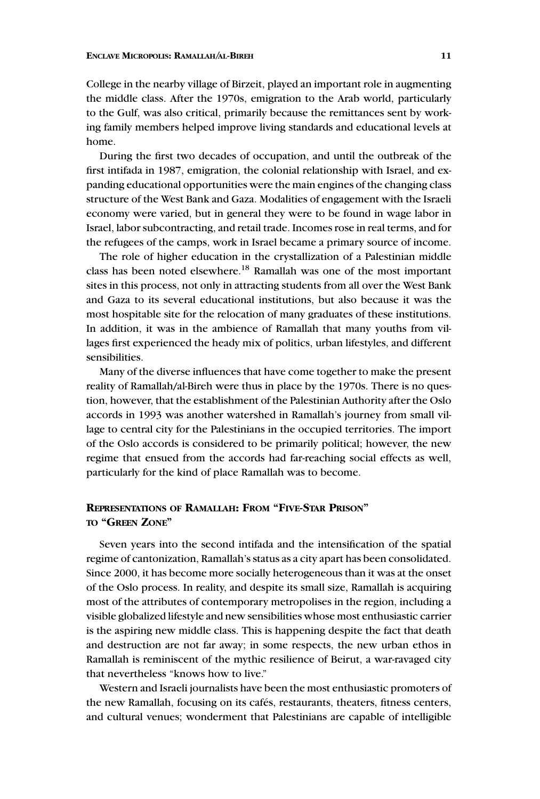College in the nearby village of Birzeit, played an important role in augmenting the middle class. After the 1970s, emigration to the Arab world, particularly to the Gulf, was also critical, primarily because the remittances sent by working family members helped improve living standards and educational levels at home.

During the first two decades of occupation, and until the outbreak of the first intifada in 1987, emigration, the colonial relationship with Israel, and expanding educational opportunities were the main engines of the changing class structure of the West Bank and Gaza. Modalities of engagement with the Israeli economy were varied, but in general they were to be found in wage labor in Israel, labor subcontracting, and retail trade. Incomes rose in real terms, and for the refugees of the camps, work in Israel became a primary source of income.

The role of higher education in the crystallization of a Palestinian middle class has been noted elsewhere.<sup>18</sup> Ramallah was one of the most important sites in this process, not only in attracting students from all over the West Bank and Gaza to its several educational institutions, but also because it was the most hospitable site for the relocation of many graduates of these institutions. In addition, it was in the ambience of Ramallah that many youths from villages first experienced the heady mix of politics, urban lifestyles, and different sensibilities.

Many of the diverse influences that have come together to make the present reality of Ramallah/al-Bireh were thus in place by the 1970s. There is no question, however, that the establishment of the Palestinian Authority after the Oslo accords in 1993 was another watershed in Ramallah's journey from small village to central city for the Palestinians in the occupied territories. The import of the Oslo accords is considered to be primarily political; however, the new regime that ensued from the accords had far-reaching social effects as well, particularly for the kind of place Ramallah was to become.

## **REPRESENTATIONS OF RAMALLAH: FROM "FIVE-STAR PRISON" TO "GREEN ZONE"**

Seven years into the second intifada and the intensification of the spatial regime of cantonization, Ramallah's status as a city apart has been consolidated. Since 2000, it has become more socially heterogeneous than it was at the onset of the Oslo process. In reality, and despite its small size, Ramallah is acquiring most of the attributes of contemporary metropolises in the region, including a visible globalized lifestyle and new sensibilities whose most enthusiastic carrier is the aspiring new middle class. This is happening despite the fact that death and destruction are not far away; in some respects, the new urban ethos in Ramallah is reminiscent of the mythic resilience of Beirut, a war-ravaged city that nevertheless "knows how to live."

Western and Israeli journalists have been the most enthusiastic promoters of the new Ramallah, focusing on its caf´es, restaurants, theaters, fitness centers, and cultural venues; wonderment that Palestinians are capable of intelligible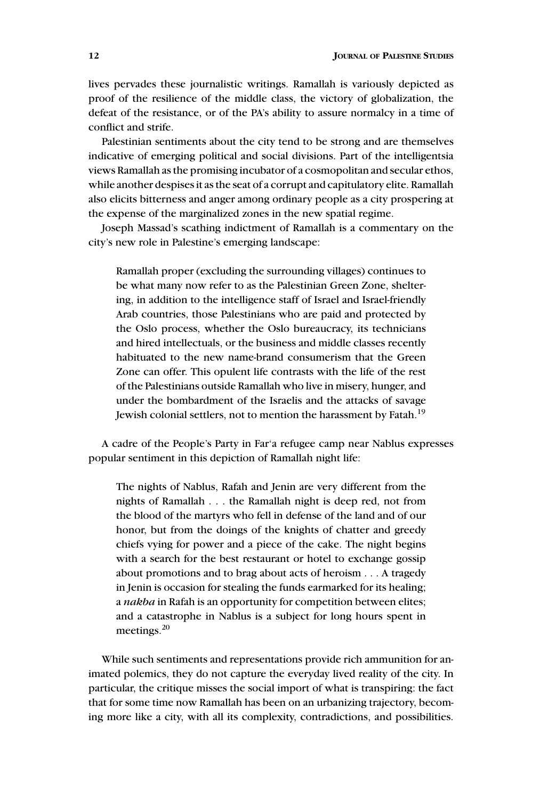lives pervades these journalistic writings. Ramallah is variously depicted as proof of the resilience of the middle class, the victory of globalization, the defeat of the resistance, or of the PA's ability to assure normalcy in a time of conflict and strife.

Palestinian sentiments about the city tend to be strong and are themselves indicative of emerging political and social divisions. Part of the intelligentsia views Ramallah as the promising incubator of a cosmopolitan and secular ethos, while another despises it as the seat of a corrupt and capitulatory elite. Ramallah also elicits bitterness and anger among ordinary people as a city prospering at the expense of the marginalized zones in the new spatial regime.

Joseph Massad's scathing indictment of Ramallah is a commentary on the city's new role in Palestine's emerging landscape:

Ramallah proper (excluding the surrounding villages) continues to be what many now refer to as the Palestinian Green Zone, sheltering, in addition to the intelligence staff of Israel and Israel-friendly Arab countries, those Palestinians who are paid and protected by the Oslo process, whether the Oslo bureaucracy, its technicians and hired intellectuals, or the business and middle classes recently habituated to the new name-brand consumerism that the Green Zone can offer. This opulent life contrasts with the life of the rest of the Palestinians outside Ramallah who live in misery, hunger, and under the bombardment of the Israelis and the attacks of savage Jewish colonial settlers, not to mention the harassment by Fatah.<sup>19</sup>

A cadre of the People's Party in Far'a refugee camp near Nablus expresses popular sentiment in this depiction of Ramallah night life:

The nights of Nablus, Rafah and Jenin are very different from the nights of Ramallah . . . the Ramallah night is deep red, not from the blood of the martyrs who fell in defense of the land and of our honor, but from the doings of the knights of chatter and greedy chiefs vying for power and a piece of the cake. The night begins with a search for the best restaurant or hotel to exchange gossip about promotions and to brag about acts of heroism . . . A tragedy in Jenin is occasion for stealing the funds earmarked for its healing; a *nakba* in Rafah is an opportunity for competition between elites; and a catastrophe in Nablus is a subject for long hours spent in meetings.<sup>20</sup>

While such sentiments and representations provide rich ammunition for animated polemics, they do not capture the everyday lived reality of the city. In particular, the critique misses the social import of what is transpiring: the fact that for some time now Ramallah has been on an urbanizing trajectory, becoming more like a city, with all its complexity, contradictions, and possibilities.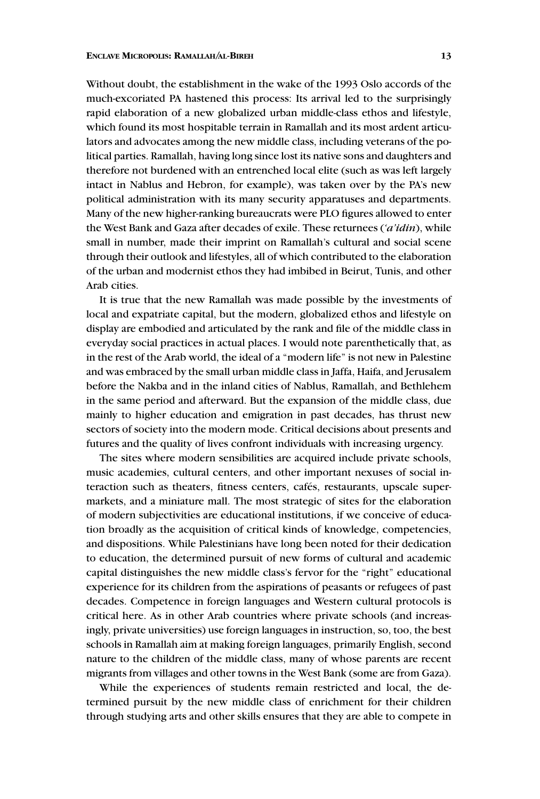Without doubt, the establishment in the wake of the 1993 Oslo accords of the much-excoriated PA hastened this process: Its arrival led to the surprisingly rapid elaboration of a new globalized urban middle-class ethos and lifestyle, which found its most hospitable terrain in Ramallah and its most ardent articulators and advocates among the new middle class, including veterans of the political parties. Ramallah, having long since lost its native sons and daughters and therefore not burdened with an entrenched local elite (such as was left largely intact in Nablus and Hebron, for example), was taken over by the PA's new political administration with its many security apparatuses and departments. Many of the new higher-ranking bureaucrats were PLO figures allowed to enter the West Bank and Gaza after decades of exile. These returnees (*'a'idin*), while small in number, made their imprint on Ramallah's cultural and social scene through their outlook and lifestyles, all of which contributed to the elaboration of the urban and modernist ethos they had imbibed in Beirut, Tunis, and other Arab cities.

It is true that the new Ramallah was made possible by the investments of local and expatriate capital, but the modern, globalized ethos and lifestyle on display are embodied and articulated by the rank and file of the middle class in everyday social practices in actual places. I would note parenthetically that, as in the rest of the Arab world, the ideal of a "modern life" is not new in Palestine and was embraced by the small urban middle class in Jaffa, Haifa, and Jerusalem before the Nakba and in the inland cities of Nablus, Ramallah, and Bethlehem in the same period and afterward. But the expansion of the middle class, due mainly to higher education and emigration in past decades, has thrust new sectors of society into the modern mode. Critical decisions about presents and futures and the quality of lives confront individuals with increasing urgency.

The sites where modern sensibilities are acquired include private schools, music academies, cultural centers, and other important nexuses of social interaction such as theaters, fitness centers, cafés, restaurants, upscale supermarkets, and a miniature mall. The most strategic of sites for the elaboration of modern subjectivities are educational institutions, if we conceive of education broadly as the acquisition of critical kinds of knowledge, competencies, and dispositions. While Palestinians have long been noted for their dedication to education, the determined pursuit of new forms of cultural and academic capital distinguishes the new middle class's fervor for the "right" educational experience for its children from the aspirations of peasants or refugees of past decades. Competence in foreign languages and Western cultural protocols is critical here. As in other Arab countries where private schools (and increasingly, private universities) use foreign languages in instruction, so, too, the best schools in Ramallah aim at making foreign languages, primarily English, second nature to the children of the middle class, many of whose parents are recent migrants from villages and other towns in the West Bank (some are from Gaza).

While the experiences of students remain restricted and local, the determined pursuit by the new middle class of enrichment for their children through studying arts and other skills ensures that they are able to compete in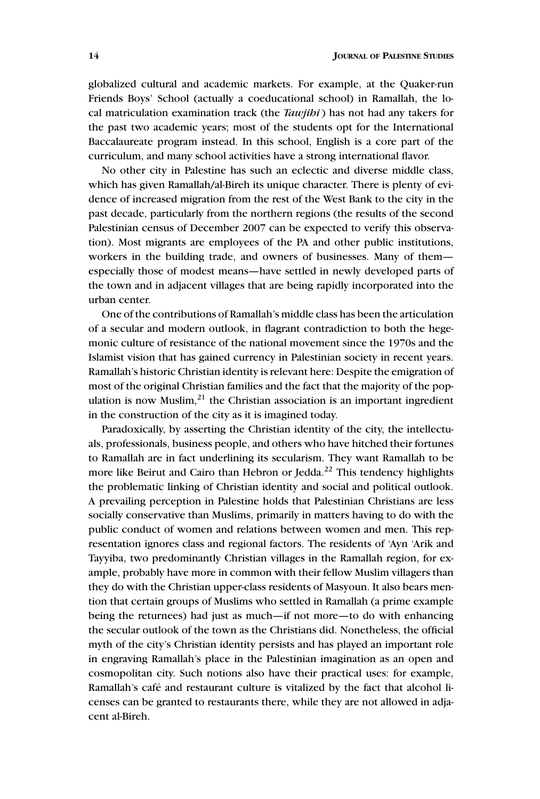globalized cultural and academic markets. For example, at the Quaker-run Friends Boys' School (actually a coeducational school) in Ramallah, the local matriculation examination track (the *Tawjihi*) has not had any takers for the past two academic years; most of the students opt for the International Baccalaureate program instead. In this school, English is a core part of the curriculum, and many school activities have a strong international flavor.

No other city in Palestine has such an eclectic and diverse middle class, which has given Ramallah/al-Bireh its unique character. There is plenty of evidence of increased migration from the rest of the West Bank to the city in the past decade, particularly from the northern regions (the results of the second Palestinian census of December 2007 can be expected to verify this observation). Most migrants are employees of the PA and other public institutions, workers in the building trade, and owners of businesses. Many of them especially those of modest means—have settled in newly developed parts of the town and in adjacent villages that are being rapidly incorporated into the urban center.

One of the contributions of Ramallah's middle class has been the articulation of a secular and modern outlook, in flagrant contradiction to both the hegemonic culture of resistance of the national movement since the 1970s and the Islamist vision that has gained currency in Palestinian society in recent years. Ramallah's historic Christian identity is relevant here: Despite the emigration of most of the original Christian families and the fact that the majority of the population is now Muslim, $^{21}$  the Christian association is an important ingredient in the construction of the city as it is imagined today.

Paradoxically, by asserting the Christian identity of the city, the intellectuals, professionals, business people, and others who have hitched their fortunes to Ramallah are in fact underlining its secularism. They want Ramallah to be more like Beirut and Cairo than Hebron or Jedda.<sup>22</sup> This tendency highlights the problematic linking of Christian identity and social and political outlook. A prevailing perception in Palestine holds that Palestinian Christians are less socially conservative than Muslims, primarily in matters having to do with the public conduct of women and relations between women and men. This representation ignores class and regional factors. The residents of 'Ayn 'Arik and Tayyiba, two predominantly Christian villages in the Ramallah region, for example, probably have more in common with their fellow Muslim villagers than they do with the Christian upper-class residents of Masyoun. It also bears mention that certain groups of Muslims who settled in Ramallah (a prime example being the returnees) had just as much—if not more—to do with enhancing the secular outlook of the town as the Christians did. Nonetheless, the official myth of the city's Christian identity persists and has played an important role in engraving Ramallah's place in the Palestinian imagination as an open and cosmopolitan city. Such notions also have their practical uses: for example, Ramallah's café and restaurant culture is vitalized by the fact that alcohol licenses can be granted to restaurants there, while they are not allowed in adjacent al-Bireh.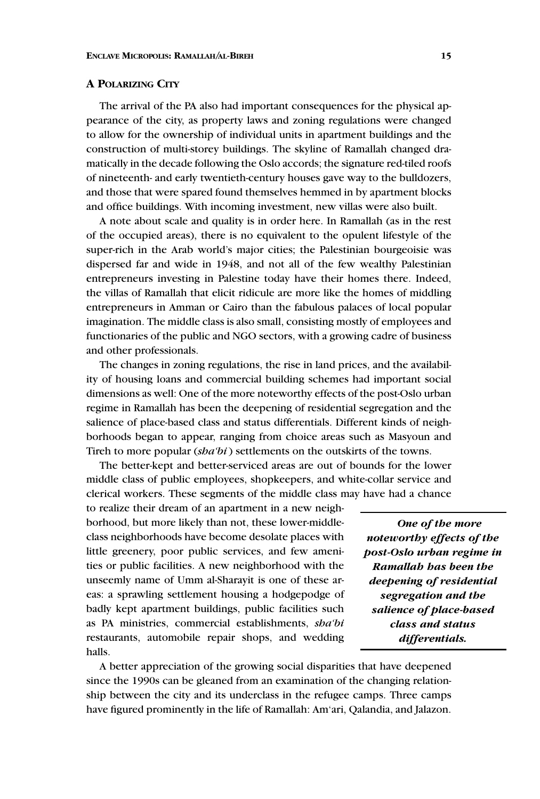### **A POLARIZING CITY**

The arrival of the PA also had important consequences for the physical appearance of the city, as property laws and zoning regulations were changed to allow for the ownership of individual units in apartment buildings and the construction of multi-storey buildings. The skyline of Ramallah changed dramatically in the decade following the Oslo accords; the signature red-tiled roofs of nineteenth- and early twentieth-century houses gave way to the bulldozers, and those that were spared found themselves hemmed in by apartment blocks and office buildings. With incoming investment, new villas were also built.

A note about scale and quality is in order here. In Ramallah (as in the rest of the occupied areas), there is no equivalent to the opulent lifestyle of the super-rich in the Arab world's major cities; the Palestinian bourgeoisie was dispersed far and wide in 1948, and not all of the few wealthy Palestinian entrepreneurs investing in Palestine today have their homes there. Indeed, the villas of Ramallah that elicit ridicule are more like the homes of middling entrepreneurs in Amman or Cairo than the fabulous palaces of local popular imagination. The middle class is also small, consisting mostly of employees and functionaries of the public and NGO sectors, with a growing cadre of business and other professionals.

The changes in zoning regulations, the rise in land prices, and the availability of housing loans and commercial building schemes had important social dimensions as well: One of the more noteworthy effects of the post-Oslo urban regime in Ramallah has been the deepening of residential segregation and the salience of place-based class and status differentials. Different kinds of neighborhoods began to appear, ranging from choice areas such as Masyoun and Tireh to more popular (*sha'bi*) settlements on the outskirts of the towns.

The better-kept and better-serviced areas are out of bounds for the lower middle class of public employees, shopkeepers, and white-collar service and clerical workers. These segments of the middle class may have had a chance

to realize their dream of an apartment in a new neighborhood, but more likely than not, these lower-middleclass neighborhoods have become desolate places with little greenery, poor public services, and few amenities or public facilities. A new neighborhood with the unseemly name of Umm al-Sharayit is one of these areas: a sprawling settlement housing a hodgepodge of badly kept apartment buildings, public facilities such as PA ministries, commercial establishments, *sha'bi* restaurants, automobile repair shops, and wedding halls.

*One of the more noteworthy effects of the post-Oslo urban regime in Ramallah has been the deepening of residential segregation and the salience of place-based class and status differentials.*

A better appreciation of the growing social disparities that have deepened since the 1990s can be gleaned from an examination of the changing relationship between the city and its underclass in the refugee camps. Three camps have figured prominently in the life of Ramallah: Am'ari, Qalandia, and Jalazon.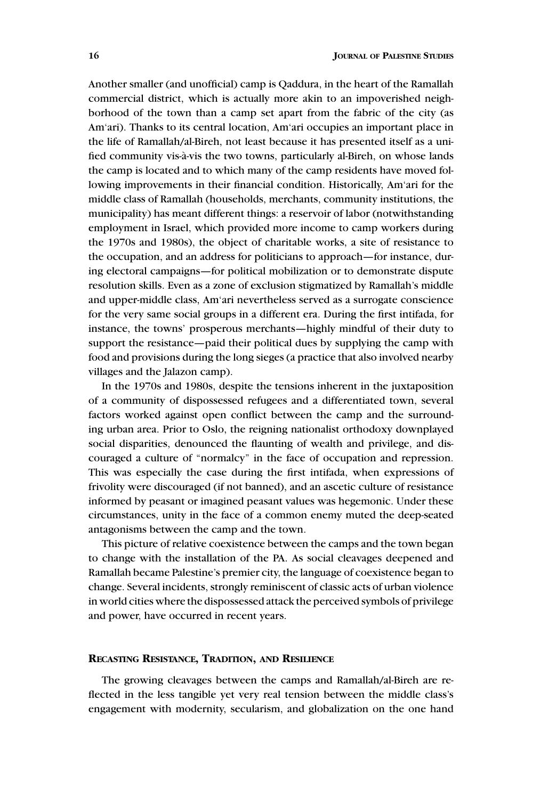Another smaller (and unofficial) camp is Qaddura, in the heart of the Ramallah commercial district, which is actually more akin to an impoverished neighborhood of the town than a camp set apart from the fabric of the city (as Am'ari). Thanks to its central location, Am'ari occupies an important place in the life of Ramallah/al-Bireh, not least because it has presented itself as a unified community vis- $\grave{a}$ -vis the two towns, particularly al-Bireh, on whose lands the camp is located and to which many of the camp residents have moved following improvements in their financial condition. Historically, Am'ari for the middle class of Ramallah (households, merchants, community institutions, the municipality) has meant different things: a reservoir of labor (notwithstanding employment in Israel, which provided more income to camp workers during the 1970s and 1980s), the object of charitable works, a site of resistance to the occupation, and an address for politicians to approach—for instance, during electoral campaigns—for political mobilization or to demonstrate dispute resolution skills. Even as a zone of exclusion stigmatized by Ramallah's middle and upper-middle class, Am'ari nevertheless served as a surrogate conscience for the very same social groups in a different era. During the first intifada, for instance, the towns' prosperous merchants—highly mindful of their duty to support the resistance—paid their political dues by supplying the camp with food and provisions during the long sieges (a practice that also involved nearby villages and the Jalazon camp).

In the 1970s and 1980s, despite the tensions inherent in the juxtaposition of a community of dispossessed refugees and a differentiated town, several factors worked against open conflict between the camp and the surrounding urban area. Prior to Oslo, the reigning nationalist orthodoxy downplayed social disparities, denounced the flaunting of wealth and privilege, and discouraged a culture of "normalcy" in the face of occupation and repression. This was especially the case during the first intifada, when expressions of frivolity were discouraged (if not banned), and an ascetic culture of resistance informed by peasant or imagined peasant values was hegemonic. Under these circumstances, unity in the face of a common enemy muted the deep-seated antagonisms between the camp and the town.

This picture of relative coexistence between the camps and the town began to change with the installation of the PA. As social cleavages deepened and Ramallah became Palestine's premier city, the language of coexistence began to change. Several incidents, strongly reminiscent of classic acts of urban violence in world cities where the dispossessed attack the perceived symbols of privilege and power, have occurred in recent years.

### **RECASTING RESISTANCE, TRADITION, AND RESILIENCE**

The growing cleavages between the camps and Ramallah/al-Bireh are reflected in the less tangible yet very real tension between the middle class's engagement with modernity, secularism, and globalization on the one hand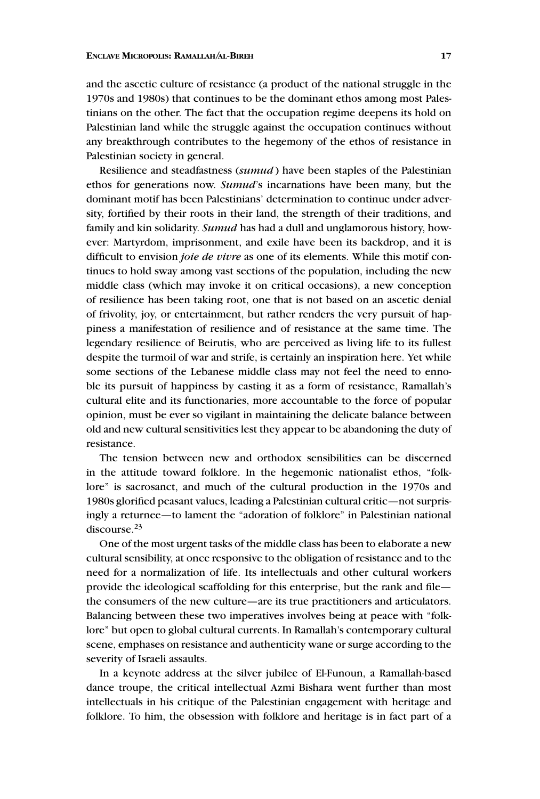and the ascetic culture of resistance (a product of the national struggle in the 1970s and 1980s) that continues to be the dominant ethos among most Palestinians on the other. The fact that the occupation regime deepens its hold on Palestinian land while the struggle against the occupation continues without any breakthrough contributes to the hegemony of the ethos of resistance in Palestinian society in general.

Resilience and steadfastness (*sumud* ) have been staples of the Palestinian ethos for generations now. *Sumud*'s incarnations have been many, but the dominant motif has been Palestinians' determination to continue under adversity, fortified by their roots in their land, the strength of their traditions, and family and kin solidarity. *Sumud* has had a dull and unglamorous history, however: Martyrdom, imprisonment, and exile have been its backdrop, and it is difficult to envision *joie de vivre* as one of its elements. While this motif continues to hold sway among vast sections of the population, including the new middle class (which may invoke it on critical occasions), a new conception of resilience has been taking root, one that is not based on an ascetic denial of frivolity, joy, or entertainment, but rather renders the very pursuit of happiness a manifestation of resilience and of resistance at the same time. The legendary resilience of Beirutis, who are perceived as living life to its fullest despite the turmoil of war and strife, is certainly an inspiration here. Yet while some sections of the Lebanese middle class may not feel the need to ennoble its pursuit of happiness by casting it as a form of resistance, Ramallah's cultural elite and its functionaries, more accountable to the force of popular opinion, must be ever so vigilant in maintaining the delicate balance between old and new cultural sensitivities lest they appear to be abandoning the duty of resistance.

The tension between new and orthodox sensibilities can be discerned in the attitude toward folklore. In the hegemonic nationalist ethos, "folklore" is sacrosanct, and much of the cultural production in the 1970s and 1980s glorified peasant values, leading a Palestinian cultural critic—not surprisingly a returnee—to lament the "adoration of folklore" in Palestinian national discourse<sup>23</sup>

One of the most urgent tasks of the middle class has been to elaborate a new cultural sensibility, at once responsive to the obligation of resistance and to the need for a normalization of life. Its intellectuals and other cultural workers provide the ideological scaffolding for this enterprise, but the rank and file the consumers of the new culture—are its true practitioners and articulators. Balancing between these two imperatives involves being at peace with "folklore" but open to global cultural currents. In Ramallah's contemporary cultural scene, emphases on resistance and authenticity wane or surge according to the severity of Israeli assaults.

In a keynote address at the silver jubilee of El-Funoun, a Ramallah-based dance troupe, the critical intellectual Azmi Bishara went further than most intellectuals in his critique of the Palestinian engagement with heritage and folklore. To him, the obsession with folklore and heritage is in fact part of a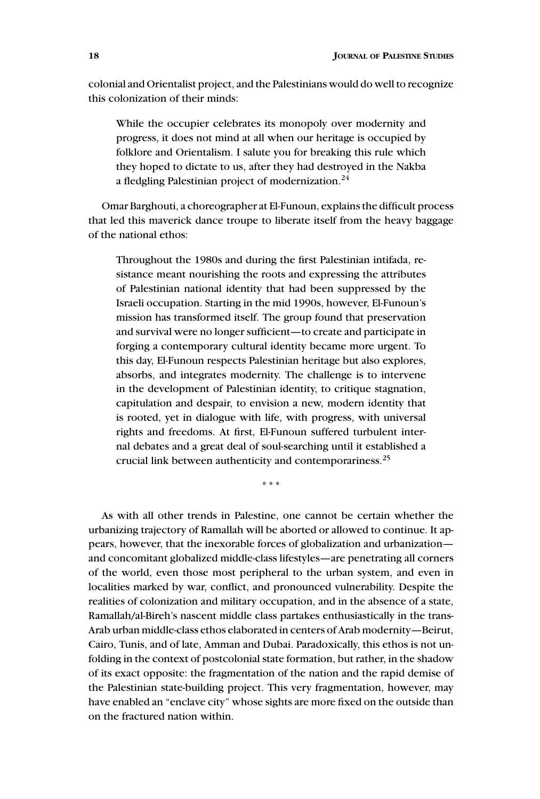colonial and Orientalist project, and the Palestinians would do well to recognize this colonization of their minds:

While the occupier celebrates its monopoly over modernity and progress, it does not mind at all when our heritage is occupied by folklore and Orientalism. I salute you for breaking this rule which they hoped to dictate to us, after they had destroyed in the Nakba a fledgling Palestinian project of modernization.<sup>24</sup>

Omar Barghouti, a choreographer at El-Funoun, explains the difficult process that led this maverick dance troupe to liberate itself from the heavy baggage of the national ethos:

Throughout the 1980s and during the first Palestinian intifada, resistance meant nourishing the roots and expressing the attributes of Palestinian national identity that had been suppressed by the Israeli occupation. Starting in the mid 1990s, however, El-Funoun's mission has transformed itself. The group found that preservation and survival were no longer sufficient—to create and participate in forging a contemporary cultural identity became more urgent. To this day, El-Funoun respects Palestinian heritage but also explores, absorbs, and integrates modernity. The challenge is to intervene in the development of Palestinian identity, to critique stagnation, capitulation and despair, to envision a new, modern identity that is rooted, yet in dialogue with life, with progress, with universal rights and freedoms. At first, El-Funoun suffered turbulent internal debates and a great deal of soul-searching until it established a crucial link between authenticity and contemporariness.<sup>25</sup>

\*\*\*

As with all other trends in Palestine, one cannot be certain whether the urbanizing trajectory of Ramallah will be aborted or allowed to continue. It appears, however, that the inexorable forces of globalization and urbanization and concomitant globalized middle-class lifestyles—are penetrating all corners of the world, even those most peripheral to the urban system, and even in localities marked by war, conflict, and pronounced vulnerability. Despite the realities of colonization and military occupation, and in the absence of a state, Ramallah/al-Bireh's nascent middle class partakes enthusiastically in the trans-Arab urban middle-class ethos elaborated in centers of Arab modernity—Beirut, Cairo, Tunis, and of late, Amman and Dubai. Paradoxically, this ethos is not unfolding in the context of postcolonial state formation, but rather, in the shadow of its exact opposite: the fragmentation of the nation and the rapid demise of the Palestinian state-building project. This very fragmentation, however, may have enabled an "enclave city" whose sights are more fixed on the outside than on the fractured nation within.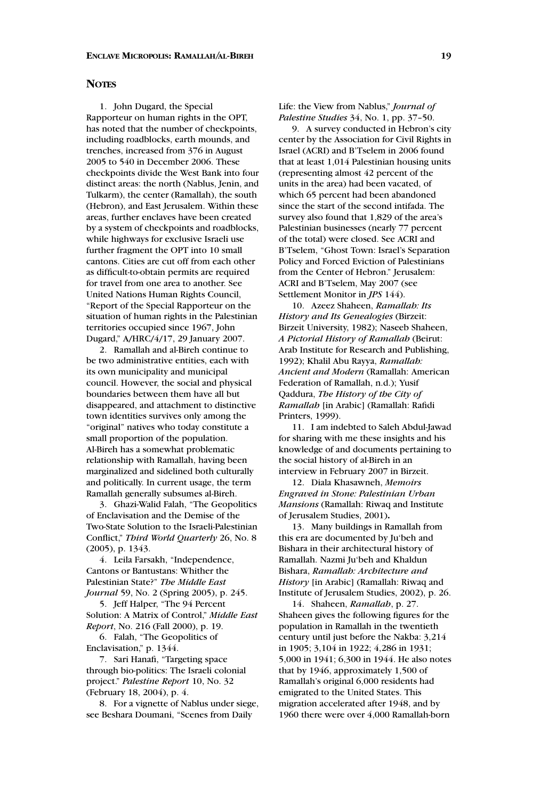### **NOTES**

1. John Dugard, the Special Rapporteur on human rights in the OPT, has noted that the number of checkpoints, including roadblocks, earth mounds, and trenches, increased from 376 in August 2005 to 540 in December 2006. These checkpoints divide the West Bank into four distinct areas: the north (Nablus, Jenin, and Tulkarm), the center (Ramallah), the south (Hebron), and East Jerusalem. Within these areas, further enclaves have been created by a system of checkpoints and roadblocks, while highways for exclusive Israeli use further fragment the OPT into 10 small cantons. Cities are cut off from each other as difficult-to-obtain permits are required for travel from one area to another. See United Nations Human Rights Council, "Report of the Special Rapporteur on the situation of human rights in the Palestinian territories occupied since 1967, John Dugard," A/HRC/4/17, 29 January 2007.

2. Ramallah and al-Bireh continue to be two administrative entities, each with its own municipality and municipal council. However, the social and physical boundaries between them have all but disappeared, and attachment to distinctive town identities survives only among the "original" natives who today constitute a small proportion of the population. Al-Bireh has a somewhat problematic relationship with Ramallah, having been marginalized and sidelined both culturally and politically. In current usage, the term Ramallah generally subsumes al-Bireh.

3. Ghazi-Walid Falah, "The Geopolitics of Enclavisation and the Demise of the Two-State Solution to the Israeli-Palestinian Conflict," *Third World Quarterly* 26, No. 8 (2005), p. 1343.

4. Leila Farsakh, "Independence, Cantons or Bantustans: Whither the Palestinian State?" *The Middle East Journal* 59, No. 2 (Spring 2005), p. 245.

5. Jeff Halper, "The 94 Percent Solution: A Matrix of Control," *Middle East Report*, No. 216 (Fall 2000), p. 19.

6. Falah, "The Geopolitics of Enclavisation," p. 1344.

7. Sari Hanafi, "Targeting space through bio-politics: The Israeli colonial project." *Palestine Report* 10, No. 32 (February 18, 2004), p. 4.

8. For a vignette of Nablus under siege, see Beshara Doumani, "Scenes from Daily

Life: the View from Nablus," *Journal of Palestine Studies* 34, No. 1, pp. 37–50.

9. A survey conducted in Hebron's city center by the Association for Civil Rights in Israel (ACRI) and B'Tselem in 2006 found that at least 1,014 Palestinian housing units (representing almost 42 percent of the units in the area) had been vacated, of which 65 percent had been abandoned since the start of the second intifada. The survey also found that 1,829 of the area's Palestinian businesses (nearly 77 percent of the total) were closed. See ACRI and B'Tselem, "Ghost Town: Israel's Separation Policy and Forced Eviction of Palestinians from the Center of Hebron." Jerusalem: ACRI and B'Tselem, May 2007 (see Settlement Monitor in *JPS* 144).

10. Azeez Shaheen, *Ramallah: Its History and Its Genealogies* (Birzeit: Birzeit University, 1982); Naseeb Shaheen, *A Pictorial History of Ramallah* (Beirut: Arab Institute for Research and Publishing, 1992); Khalil Abu Rayya, *Ramallah: Ancient and Modern* (Ramallah: American Federation of Ramallah, n.d.); Yusif Qaddura, *The History of the City of Ramallah* [in Arabic] (Ramallah: Rafidi Printers, 1999).

11. I am indebted to Saleh Abdul-Jawad for sharing with me these insights and his knowledge of and documents pertaining to the social history of al-Bireh in an interview in February 2007 in Birzeit.

12. Diala Khasawneh, *Memoirs Engraved in Stone: Palestinian Urban Mansions* (Ramallah: Riwaq and Institute of Jerusalem Studies, 2001)**.**

13. Many buildings in Ramallah from this era are documented by Ju'beh and Bishara in their architectural history of Ramallah. Nazmi Ju'beh and Khaldun Bishara, *Ramallah: Architecture and History* [in Arabic] (Ramallah: Riwaq and Institute of Jerusalem Studies, 2002), p. 26.

14. Shaheen, *Ramallah*, p. 27. Shaheen gives the following figures for the population in Ramallah in the twentieth century until just before the Nakba: 3,214 in 1905; 3,104 in 1922; 4,286 in 1931; 5,000 in 1941; 6,300 in 1944. He also notes that by 1946, approximately 1,500 of Ramallah's original 6,000 residents had emigrated to the United States. This migration accelerated after 1948, and by 1960 there were over 4,000 Ramallah-born